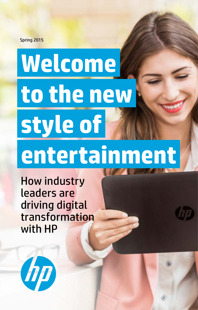Spring 2015

# **Welcome to the new style of entertainment**

How industry **leader** leaders are **digital digital** driving digital **With HP** transformation with HP

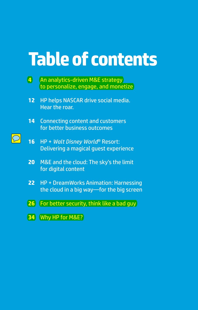## **Table of contents**

- **4** An analytics-driven M&E strategy [to personalize, engage, and monetize](#page-3-0)
- **12** [HP helps NASCAR drive social media.](#page--1-0)  [Hear the roar.](#page--1-0)
- **14** [Connecting content and customers](#page--1-0)  [for better business outcomes](#page--1-0)
- $\bigcirc$
- **16** HP + *[Walt Disney World](#page--1-0)*® Resort: [Delivering a magical guest experience](#page--1-0)
- **20** [M&E and the cloud: The sky's the limit](#page--1-0)  [for digital content](#page--1-0)
- **22** [HP + DreamWorks Animation: Harnessing](#page--1-0)  [the cloud in a big way—for the big screen](#page--1-0)
- **26** [For better security, think like a bad guy](#page-11-0)
- **34** [Why HP for M&E?](#page-19-0)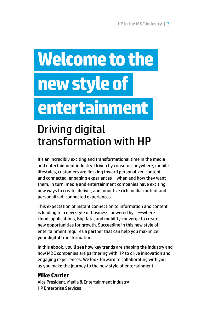# **Welcome to the new style of entertainment**

## Driving digital transformation with HP

It's an incredibly exciting and transformational time in the media and entertainment industry. Driven by consume-anywhere, mobile lifestyles, customers are flocking toward personalized content and connected, engaging experiences—when and how they want them. In turn, media and entertainment companies have exciting new ways to create, deliver, and monetize rich media content and personalized, connected experiences.

This expectation of instant connection to information and content is leading to a new style of business, powered by IT—where cloud, applications, Big Data, and mobility converge to create new opportunities for growth. Succeeding in this new style of entertainment requires a partner that can help you maximize your digital transformation.

In this ebook, you'll see how key trends are shaping the industry and how M&E companies are partnering with HP to drive innovation and engaging experiences. We look forward to collaborating with you as you make the journey to the new style of entertainment.

### **Mike Carrier**

Vice President, Media & Entertainment Industry HP Enterprise Services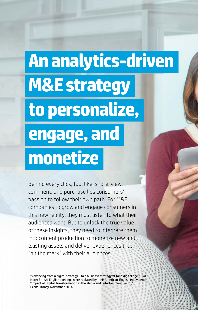# <span id="page-3-0"></span>**An analytics-driven M&E strategy to personalize, engage, and monetize**

Behind every click, tap, like, share, view, comment, and purchase lies consumers' passion to follow their own path. For M&E companies to grow and engage consumers in this new reality, they must listen to what their audiences want. But to unlock the true value of these insights, they need to integrate them into content production to monetize new and existing assets and deliver experiences that "hit the mark" with their audiences.

<sup>1</sup> "Advancing from a digital strategy – to a business strategy fit for a digital age." PwC. Note: British-English spellings were replaced by their American-English equivalents. <sup>2</sup> "Impact of Digital Transformation in the Media and Entertainment Sector,"

Econsultancy, November 2014.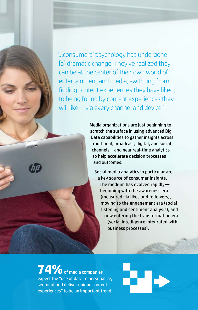"…consumers' psychology has undergone [a] dramatic change. They've realized they can be at the center of their own world of entertainment and media, switching from finding content experiences they have liked, to being found by content experiences they will like—via every channel and device."<sup>1</sup>

> Media organizations are just beginning to scratch the surface in using advanced Big Data capabilities to gather insights across traditional, broadcast, digital, and social channels—and near real-time analytics to help accelerate decision processes and outcomes.

Social media analytics in particular are a key source of consumer insights. The medium has evolved rapidly beginning with the awareness era (measured via likes and followers), moving to the engagement era (social listening and sentiment analysis), and now entering the transformation era (social intelligence integrated with business processes).

**74%**of media companies expect the "use of data to personalize, segment and deliver unique content experiences" to be an important trend…2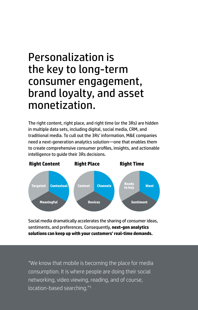## Personalization is the key to long-term consumer engagement, brand loyalty, and asset monetization.

The right content, right place, and right time (or the 3Rs) are hidden in multiple data sets, including digital, social media, CRM, and traditional media. To cull out the 3Rs' information, M&E companies need a next-generation analytics solution—one that enables them to create comprehensive consumer profiles, insights, and actionable intelligence to guide their 3Rs decisions.



Social media dramatically accelerates the sharing of consumer ideas, sentiments, and preferences. Consequently, **next-gen analytics solutions can keep up with your customers' real-time demands.**

"We know that mobile is becoming the place for media consumption. It is where people are doing their social networking, video viewing, reading, and of course, location-based searching."3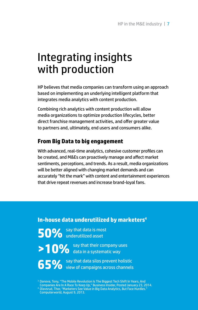## Integrating insights with production

HP believes that media companies can transform using an approach based on implementing an underlying intelligent platform that integrates media analytics with content production.

Combining rich analytics with content production will allow media organizations to optimize production lifecycles, better direct franchise management activities, and offer greater value to partners and, ultimately, end users and consumers alike.

### **From Big Data to big engagement**

With advanced, real-time analytics, cohesive customer profiles can be created, and M&Es can proactively manage and affect market sentiments, perceptions, and trends. As a result, media organizations will be better aligned with changing market demands and can accurately "hit the mark" with content and entertainment experiences that drive repeat revenues and increase brand-loyal fans.

### **In-house data underutilized by marketers4**

**50%** say that data is most

>10% say that their company uses

**65%** say that data silos prevent holistic<br> **65%** view of campaigns across channels

<sup>3</sup> Danova, Tony, "The Mobile Revolution Is The Biggest Tech Shift In Years, And<br>(Companies Are In A Race To Keep Up," Business Insider, Posted January 23, 2014.<br><sup>4</sup> Olavsrud, Thor, "Marketers See Value in Big Data Analyti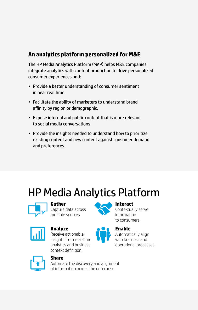### **An analytics platform personalized for M&E**

The HP Media Analytics Platform (MAP) helps M&E companies integrate analytics with content production to drive personalized consumer experiences and:

- Provide a better understanding of consumer sentiment in near real time.
- Facilitate the ability of marketers to understand brand affinity by region or demographic.
- Expose internal and public content that is more relevant to social media conversations.
- Provide the insights needed to understand how to prioritize existing content and new content against consumer demand and preferences.

## HP Media Analytics Platform



### **Gather**

Capture data across multiple sources.



### **Analyze**

Receive actionable insights from real-time analytics and business context definition.



### **Interact**

Contextually serve information to consumers.







### **Enable**

Automatically align with business and operational processes.



### **Share**

Automate the discovery and alignment of information across the enterprise.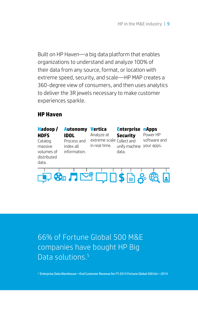Built on HP Haven—a big data platform that enables organizations to understand and analyze 100% of their data from any source, format, or location with extreme speed, security, and scale—HP MAP creates a 360-degree view of consumers, and then uses analytics to deliver the 3R jewels necessary to make customer experiences sparkle.

### **HP Haven**



66% of Fortune Global 500 M&E companies have bought HP Big Data solutions.<sup>5</sup>

<sup>5</sup> Enterprise Data Warehouse—End Customer Revenue for FY 2014 Fortune Global 500 list—2014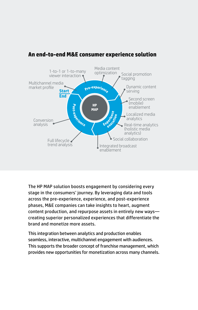

### **An end-to-end M&E consumer experience solution**

The HP MAP solution boosts engagement by considering every stage in the consumers' journey. By leveraging data and tools across the pre-experience, experience, and post-experience phases, M&E companies can take insights to heart, augment content production, and repurpose assets in entirely new ways creating superior personalized experiences that differentiate the brand and monetize more assets.

This integration between analytics and production enables seamless, interactive, multichannel engagement with audiences. This supports the broader concept of franchise management, which provides new opportunities for monetization across many channels.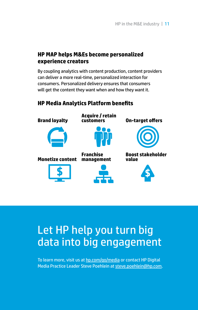### **HP MAP helps M&Es become personalized experience creators**

By coupling analytics with content production, content providers can deliver a more real-time, personalized interaction for consumers. Personalized delivery ensures that consumers will get the content they want when and how they want it.

### **HP Media Analytics Platform benefits**



## Let HP help you turn big data into big engagement

To learn more, visit us at [hp.com/go/media](http://hp.com/go/media) or contact HP Digital Media Practice Leader Steve Poehlein at [steve.poehlein@hp.com.](mailto:steve.poehlein%40hp.com?subject=)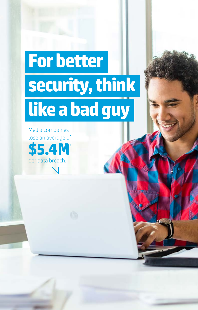# <span id="page-11-0"></span>**For better security, think like a bad guy**

Media companies lose an average of **\$5.4M1** per data breach.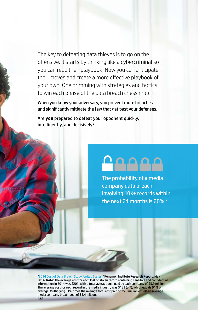The key to defeating data thieves is to go on the offensive. It starts by thinking like a cybercriminal so you can read their playbook. Now you can anticipate their moves and create a more effective playbook of your own. One brimming with strategies and tactics to win each phase of the data breach chess match.

When you know your adversary, you prevent more breaches and significantly mitigate the few that get past your defenses.

Are **you** prepared to defeat your opponent quickly, intelligently, and decisively?

## $00000$

The probability of a media company data breach involving 10K+ records within the next 24 months is 20%.<sup>2</sup>

<sup>1</sup> "[2014 Cost of Data Breach Study: United States."](http://essextec.com/sites/default/files/2014 Cost of Data Breach Study.PDF) Ponemon Institute Research Report. May 2014. **Note:** The average cost for each lost or stolen record containing sensitive and confidential information in 2014 was \$201, with a total average cost paid by each company of \$5.9 million. The average cost for each record in the media industry was \$183 (p.7), which equals 91% of average. Multiplying 91% times the average total cost paid of \$5.9 million equals an average media company breach cost of \$5.4 million. <sup>2</sup> Ibid.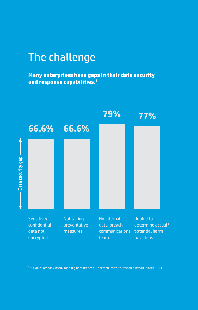## The challenge

**Many enterprises have gaps in their data security and response capabilities.<sup>3</sup>**



<sup>3</sup> ["Is Your Company Ready for a Big Data Breach?](http://www.experian.com/assets/data-breach/brochures/databreach-preparedness-study-v3.pdf)" Ponemon Institute Research Report. March 2013.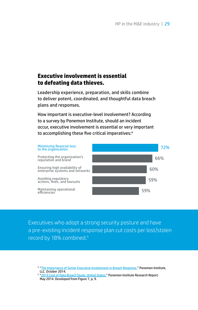### **Executive involvement is essential to defeating data thieves.**

Leadership experience, preparation, and skills combine to deliver potent, coordinated, and thoughtful data breach plans and responses.

How important is executive-level involvement? According to a survey by Ponemon Institute, should an incident **How important is executive-level involvement**  occur, executive involvement is essential or very important **in the incident response process?** to accomplishing these five critical imperatives: $^{\rm 4}$ 



Executives who adopt a strong security posture and have a pre-existing incident response plan cut costs per lost/stolen record by 18% combined.5

<sup>&</sup>lt;sup>4</sup> "[The Importance of Senior Executive Involvement in Breach Response.](http://h20195.www2.hp.com/V2/getpdf.aspx/4aa5-5310enw.pdf)" Ponemon Institute, LLC. October 2014.

<sup>5</sup> "[2014 Cost of Data Breach Study: United States.](http://essextec.com/sites/default/files/2014 Cost of Data Breach Study.PDF)" Ponemon Institute Research Report. May 2014. Developed from Figure 7, p. 9.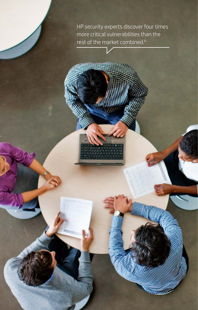HP security experts discover four times more critical vulnerabilities than the rest of the market combined.<sup>6</sup>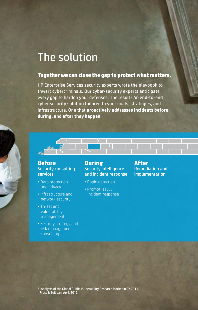## The solution

### **Together we can close the gap to protect what matters.**

HP Enterprise Services security experts wrote the playbook to thwart cybercriminals. Our cyber-security experts anticipate every gap to harden your defenses. The result? An end-to-end cyber security solution tailored to your goals, strategies, and infrastructure. One that **proactively addresses incidents before, during, and after they happen**.



### **Before** Security consulting services

- Data protection and privacy
- Infrastructure and network security
- Threat and vulnerability management
- Security strategy and risk management consulting

### **During** Security intelligence and incident response

- Rapid detection
- Prompt, savvy incident response

### **After** Remediation and implementation

<sup>6</sup> "Analysis of the Global Public Vulnerability Research Market in CY 2011." Frost & Sullivan, April 2012.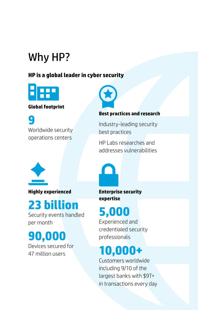## Why HP?

### **HP is a global leader in cyber security**



### **Global footprint**

**9** Worldwide security operations centers



### **Best practices and research**

Industry-leading security best practices

HP Labs researches and addresses vulnerabilities



**Highly experienced**

## **23 billion**

Security events handled per month

**90,000**

Devices secured for 47 million users

**Enterprise security expertise**

## **5,000**

Experienced and credentialed security professionals

## **10,000+**

Customers worldwide including 9/10 of the largest banks with \$9T+ in transactions every day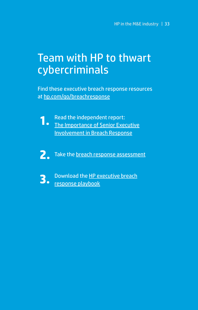## Team with HP to thwart cybercriminals

Find these executive breach response resources at [hp.com/go/breachresponse](http://hp.com/go/breachresponse)

**1.** Read the independent report:<br> **1.** [The Importance of Senior Executive](http://h20195.www2.hp.com/V2/getpdf.aspx/4aa5-5310enw.pdf) [Involvement in Breach Response](http://h20195.www2.hp.com/V2/getpdf.aspx/4aa5-5310enw.pdf)

**2.** Take the [breach response assessment](https://breach.hpsecurityassessment.com/)



**3.** Download the [HP executive breach](http://h20195.www2.hp.com/V2/getpdf.aspx/4aa5-5562enw.pdf) [response playbook](http://h20195.www2.hp.com/V2/getpdf.aspx/4aa5-5562enw.pdf)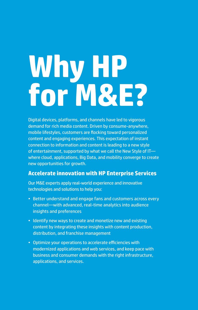# <span id="page-19-0"></span>**Why HP for M&E?**

Digital devices, platforms, and channels have led to vigorous demand for rich media content. Driven by consume-anywhere, mobile lifestyles, customers are flocking toward personalized content and engaging experiences. This expectation of instant connection to information and content is leading to a new style of entertainment, supported by what we call the New Style of IT where cloud, applications, Big Data, and mobility converge to create new opportunities for growth.

### **Accelerate innovation with HP Enterprise Services**

Our M&E experts apply real-world experience and innovative technologies and solutions to help you:

- Better understand and engage fans and customers across every channel—with advanced, real-time analytics into audience insights and preferences
- Identify new ways to create and monetize new and existing content by integrating these insights with content production, distribution, and franchise management
- Optimize your operations to accelerate efficiencies with modernized applications and web services, and keep pace with business and consumer demands with the right infrastructure, applications, and services.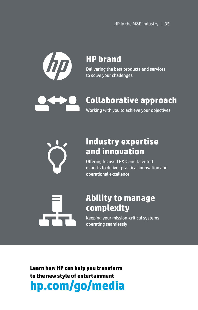

## **HP brand**

Delivering the best products and services to solve your challenges

## **Collaborative approach**

Working with you to achieve your objectives



### **Industry expertise and innovation**

Offering focused R&D and talented experts to deliver practical innovation and operational excellence

### **Ability to manage complexity**

Keeping your mission-critical systems operating seamlessly

**Learn how HP can help you transform to the new style of entertainment hp.com/go/media**